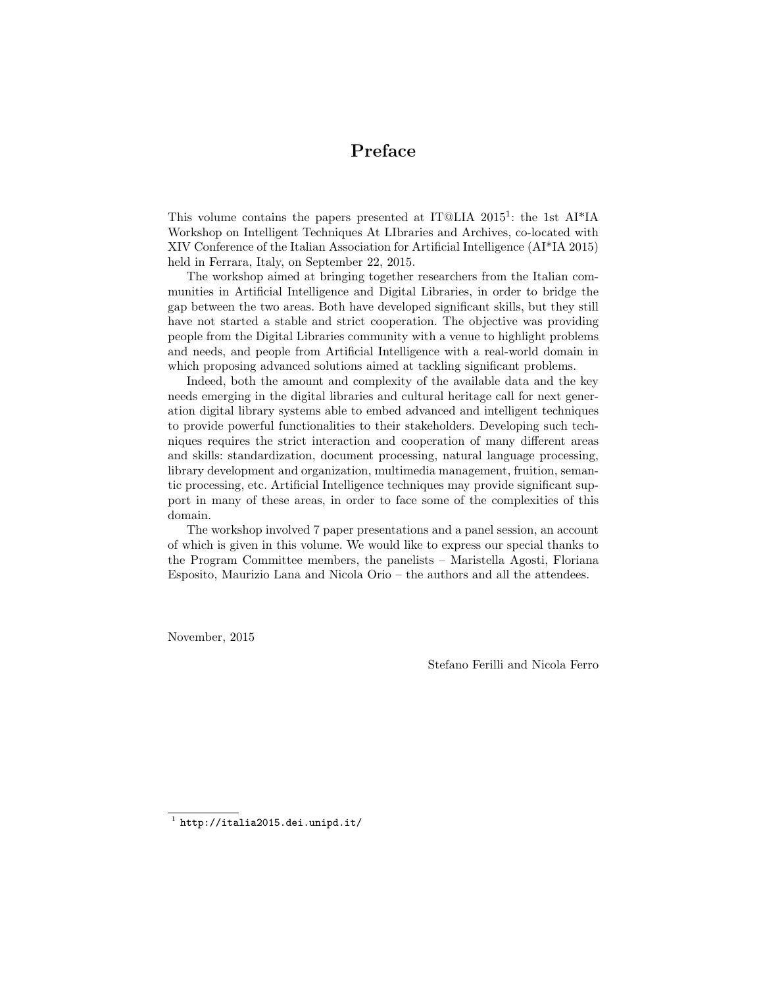## Preface

This volume contains the papers presented at IT@LIA 2015<sup>1</sup>: the 1st AI<sup>\*</sup>IA Workshop on Intelligent Techniques At LIbraries and Archives, co-located with XIV Conference of the Italian Association for Artificial Intelligence (AI\*IA 2015) held in Ferrara, Italy, on September 22, 2015.

The workshop aimed at bringing together researchers from the Italian communities in Artificial Intelligence and Digital Libraries, in order to bridge the gap between the two areas. Both have developed significant skills, but they still have not started a stable and strict cooperation. The objective was providing people from the Digital Libraries community with a venue to highlight problems and needs, and people from Artificial Intelligence with a real-world domain in which proposing advanced solutions aimed at tackling significant problems.

Indeed, both the amount and complexity of the available data and the key needs emerging in the digital libraries and cultural heritage call for next generation digital library systems able to embed advanced and intelligent techniques to provide powerful functionalities to their stakeholders. Developing such techniques requires the strict interaction and cooperation of many different areas and skills: standardization, document processing, natural language processing, library development and organization, multimedia management, fruition, semantic processing, etc. Artificial Intelligence techniques may provide significant support in many of these areas, in order to face some of the complexities of this domain.

The workshop involved 7 paper presentations and a panel session, an account of which is given in this volume. We would like to express our special thanks to the Program Committee members, the panelists – Maristella Agosti, Floriana Esposito, Maurizio Lana and Nicola Orio – the authors and all the attendees.

November, 2015

Stefano Ferilli and Nicola Ferro

 $<sup>1</sup>$  http://italia2015.dei.unipd.it/</sup>